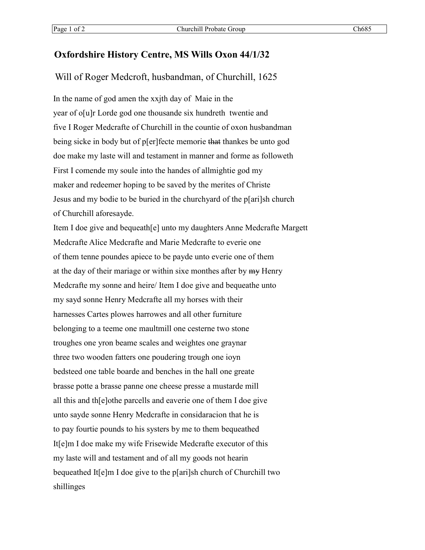## **Oxfordshire History Centre, MS Wills Oxon 44/1/32**

Will of Roger Medcroft, husbandman, of Churchill, 1625

In the name of god amen the xxjth day of Maie in the year of o[u]r Lorde god one thousande six hundreth twentie and five I Roger Medcrafte of Churchill in the countie of oxon husbandman being sicke in body but of p[er]fecte memorie that thankes be unto god doe make my laste will and testament in manner and forme as followeth First I comende my soule into the handes of allmightie god my maker and redeemer hoping to be saved by the merites of Christe Jesus and my bodie to be buried in the churchyard of the p[ari]sh church of Churchill aforesayde.

Item I doe give and bequeath[e] unto my daughters Anne Medcrafte Margett Medcrafte Alice Medcrafte and Marie Medcrafte to everie one of them tenne poundes apiece to be payde unto everie one of them at the day of their mariage or within sixe monthes after by my Henry Medcrafte my sonne and heire/ Item I doe give and bequeathe unto my sayd sonne Henry Medcrafte all my horses with their harnesses Cartes plowes harrowes and all other furniture belonging to a teeme one maultmill one cesterne two stone troughes one yron beame scales and weightes one graynar three two wooden fatters one poudering trough one ioyn bedsteed one table boarde and benches in the hall one greate brasse potte a brasse panne one cheese presse a mustarde mill all this and th[e]othe parcells and eaverie one of them I doe give unto sayde sonne Henry Medcrafte in considaracion that he is to pay fourtie pounds to his systers by me to them bequeathed It[e]m I doe make my wife Frisewide Medcrafte executor of this my laste will and testament and of all my goods not hearin bequeathed It[e]m I doe give to the p[ari]sh church of Churchill two shillinges